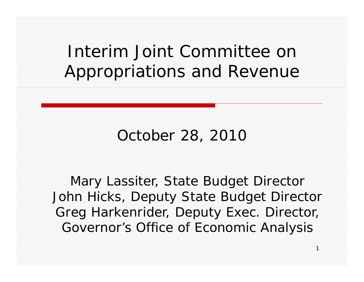### Interim Joint Committee on Appropriations and Revenue

### October 28, 2010

Mary Lassiter, State Budget Director John Hicks, Deputy State Budget Director Greg Harkenrider, Deputy Exec. Director, Governor's Office of Economic Analysis

 $\overline{1}$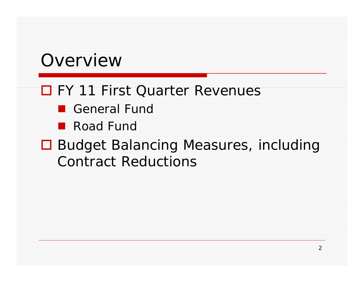### Overview

#### □ FY 11 First Quarter Revenues

- General Fund
- **Road Fund**

#### **□ Budget Balancing Measures, including Contract Reductions**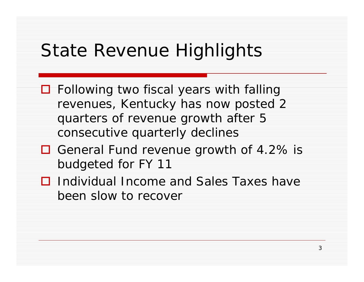### State Revenue Highlights

- **□** Following two fiscal years with falling revenues, Kentucky has now posted 2 quarters of revenue growth after 5 consecutive quarterly declines
- □ General Fund revenue growth of 4.2% is budgeted for FY 11
- **□** Individual Income and Sales Taxes have been slow to recover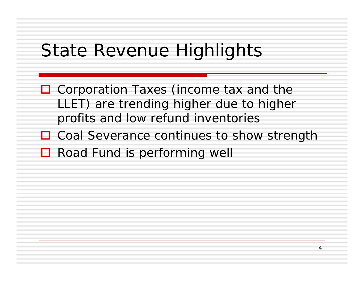### State Revenue Highlights

- □ Corporation Taxes (income tax and the LLET) are trending higher due to higher profits and low refund inventories
- □ Coal Severance continues to show strength
- **□** Road Fund is performing well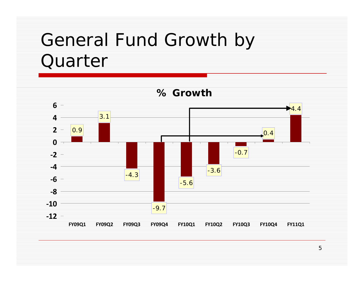# General Fund Growth by Quarter



5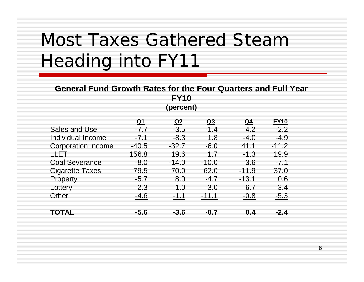# Most Taxes Gathered Steam Heading into FY11

| <b>General Fund Growth Rates for the Four Quarters and Full Year</b><br><b>FY10</b> |              |                          |                          |           |                       |  |
|-------------------------------------------------------------------------------------|--------------|--------------------------|--------------------------|-----------|-----------------------|--|
|                                                                                     |              | (percent)                |                          |           |                       |  |
|                                                                                     |              |                          |                          |           |                       |  |
| Sales and Use                                                                       | Q1<br>$-7.7$ | Q <sub>2</sub><br>$-3.5$ | Q <sub>3</sub><br>$-1.4$ | Q4<br>4.2 | <b>FY10</b><br>$-2.2$ |  |
| Individual Income                                                                   | $-7.1$       | $-8.3$                   | 1.8                      | $-4.0$    | $-4.9$                |  |
| <b>Corporation Income</b>                                                           | $-40.5$      | $-32.7$                  | $-6.0$                   | 41.1      | $-11.2$               |  |
| LLET                                                                                | 156.8        | 19.6                     |                          | $-1.3$    | 19.9                  |  |
| <b>Coal Severance</b>                                                               | $-8.0$       | $-14.0$                  | $-10.0$                  | 3.6       | $-7.1$                |  |
| Cigarette Taxes                                                                     | 79.5         | 70.0                     | 62.0                     | $-11.9$   | 37.0                  |  |
| Property                                                                            | $-5.7$       | 8.0                      | $-4.7$                   | $-13.1$   | 0.6                   |  |
| Lottery                                                                             | 2.3          | 1.0                      | 3.0                      | 6.7       | 3.4                   |  |
| Other                                                                               | -4.6         | $-1.1$                   | $-11.1$                  | $-0.8$    | $-5.3$                |  |
| TOTAL                                                                               | -5.6         | $-3.6$                   | $-0.7$                   | 0.4       | -2.4                  |  |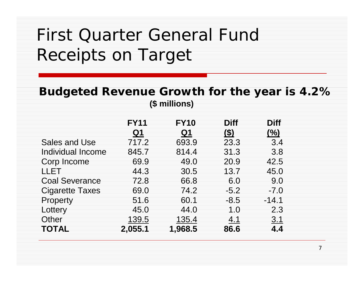### First Quarter General Fund Receipts on Target

#### **Budgeted Revenue Growth for the year is 4.2% (\$ millions)**

7

|                       | <b>FY11</b> | <b>FY10</b> | <b>Diff</b> | <b>Diff</b> |
|-----------------------|-------------|-------------|-------------|-------------|
|                       | <u>Q1</u>   | Q1          | <u>(\$)</u> | (%)         |
| Sales and Use         | 717.2       | 693.9       | 23.3        | 3.4         |
| Individual Income     | 845.7       | 814.4       | 31.3        | 3.8         |
| Corp Income           | 69.9        | 49.0        | 20.9        | 42.5        |
| LLET                  | 44.3        | 30.5        | 13.7        | 45.0        |
| <b>Coal Severance</b> | 72.8        | 66.8        | 6.0         | 9.0         |
| Cigarette Taxes       | 69.0        | 74.2        | $-5.2$      | $-7.0$      |
| Property              | 51.6        | 60.1        | $-8.5$      | $-14.1$     |
| Lottery               | 45.0        | 44.0        | 1. $\Omega$ | 2.3         |
| Other                 | 139.5       | 135.4       | 4.1         | 3.1         |
| <b>TOTAL</b>          | 2,055.1     | 1,968.5     | 86.6        | 4.4         |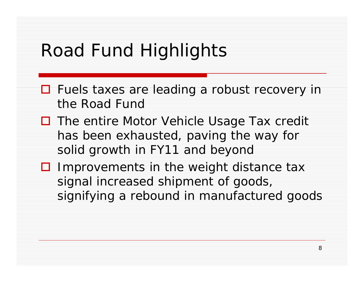# Road Fund Highlights

- □ Fuels taxes are leading a robust recovery in the Road Fund
- **□** The entire Motor Vehicle Usage Tax credit has been exhausted, paving the way for solid growth in FY11 and beyond
- $\Box$  Improvements in the weight distance tax signal increased shipment of goods, signifying a rebound in manufactured goods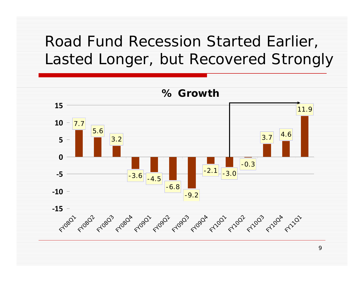### Road Fund Recession Started Earlier, Lasted Longer, but Recovered Strongly



9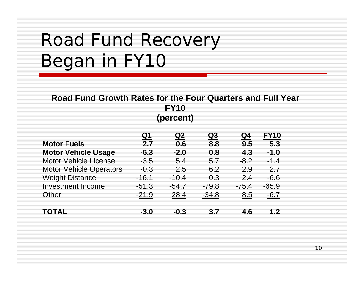# Road Fund Recovery Began in FY10

| Road Fund Growth Rates for the Four Quarters and Full Year<br><b>FY10</b> |           |           |           |         |             |  |  |
|---------------------------------------------------------------------------|-----------|-----------|-----------|---------|-------------|--|--|
| (percent)                                                                 |           |           |           |         |             |  |  |
|                                                                           | <u>Q1</u> | <u>Q2</u> | <u>Q3</u> | Q4      | <b>FY10</b> |  |  |
| <b>Motor Fuels</b>                                                        | 2.7       | 0.6       | 8.8       | 9.5     | 5.3         |  |  |
| <b>Motor Vehicle Usage</b>                                                | $-6.3$    | $-2.0$    | 0.8       | 4.3     | $-1.0$      |  |  |
| Motor Vehicle License                                                     | $-3.5$    | 5.4       | 5.7       | $-8.2$  | $-1.4$      |  |  |
| <b>Motor Vehicle Operators</b>                                            | $-0.3$    | 2.5       | 6.2       | 2.9     | 2.7         |  |  |
| <b>Weight Distance</b>                                                    | -16.1     | $-10.4$   | 0.3       | 2.4     | $-6.6$      |  |  |
| <b>Investment Income</b>                                                  | $-51.3$   | $-54.7$   | $-79.8$   | $-75.4$ | $-65.9$     |  |  |
| Other                                                                     | $-21.9$   | 28.4      | $-34.8$   | 8.5     | $-6.7$      |  |  |
| TOTAL                                                                     | $-3.0$    | $-0.3$    | 3.7       | 4.6     | 1.2         |  |  |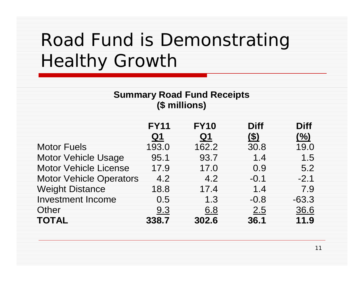# Road Fund is Demonstrating Healthy Growth

#### **Summary Road Fund Receipts (\$ millions)**

|                                | <b>FY11</b>    | <b>FY10</b>    | <b>Diff</b> | <b>Diff</b> |
|--------------------------------|----------------|----------------|-------------|-------------|
|                                | Q <sub>1</sub> | Q <sub>1</sub> | (\$)        | (%)         |
| <b>Motor Fuels</b>             | 193.0          | 162.2          | 30.8        | 19.0        |
| <b>Motor Vehicle Usage</b>     | 95.1           | 93.7           | 1.4         | 1.5         |
| <b>Motor Vehicle License</b>   | 17.9           | 17.0           | 0.9         | 5.2         |
| <b>Motor Vehicle Operators</b> | 4.2            | 4.2            | $-0.1$      | $-2.1$      |
| <b>Weight Distance</b>         | 18.8           | 17.4           | 1.4         | 7.9         |
| <b>Investment Income</b>       | 0.5            | 1.3            | $-0.8$      | $-63.3$     |
| Other                          | 9.3            | 6.8            | 2.5         | 36.6        |
| <b>TOTAL</b>                   | 338.7          | 302.6          | 36.1        | 11.9        |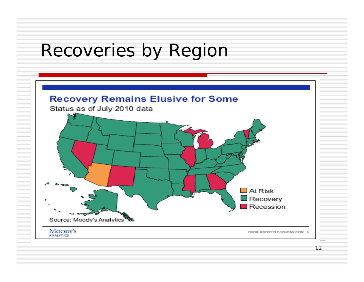### Recoveries by Region

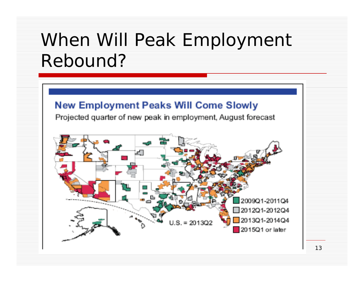## When Will Peak Employment Rebound?

#### **New Employment Peaks Will Come Slowly**

Projected quarter of new peak in employment, August forecast



13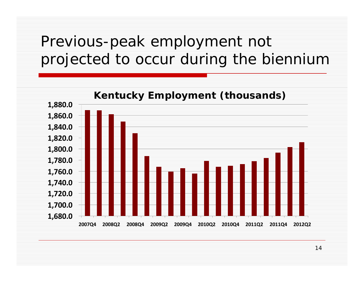### Previous-peak employment not projected to occur during the biennium



14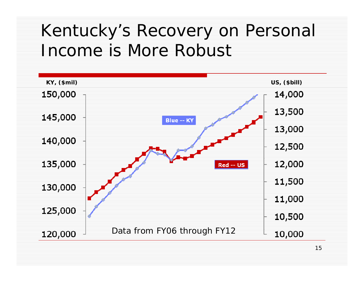### Kentucky's Recovery on Personal Income is More Robust

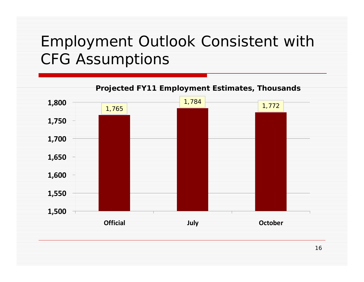### Employment Outlook Consistent with CFG Assumptions

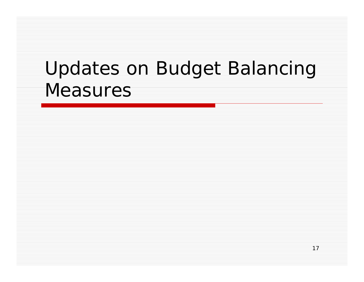# Updates on Budget Balancing Measures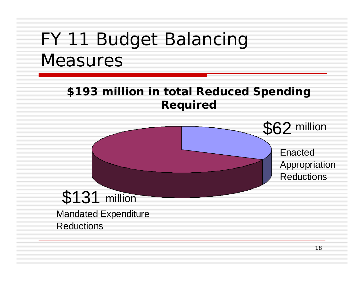# FY 11 Budget Balancing Measures

#### **\$193 illi i l R d d S di million n total e duced Spending Required**

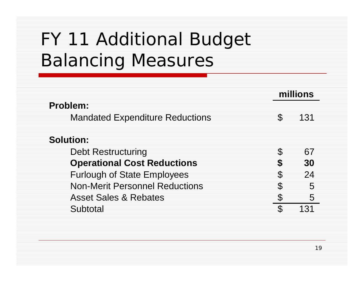# FY 11 Additional Budget Balancing Measures

|                                                    | millions |     |  |
|----------------------------------------------------|----------|-----|--|
| Problem:<br><b>Mandated Expenditure Reductions</b> |          | 131 |  |
| <b>Solution:</b>                                   |          |     |  |
| <b>Debt Restructuring</b>                          | S.       | 67  |  |
| <b>Operational Cost Reductions</b>                 | S        | 30  |  |
| <b>Furlough of State Employees</b>                 | S.       | 24  |  |
| <b>Non-Merit Personnel Reductions</b>              | S        | 5   |  |
| <b>Asset Sales &amp; Rebates</b>                   |          | 5   |  |
| Subtotal                                           | S.       | 131 |  |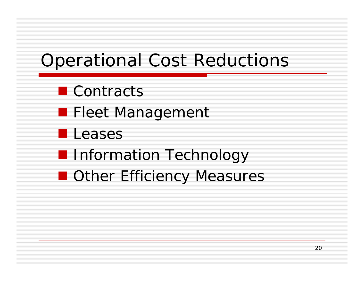# Operational Cost Reductions

- **L** Contracts
- **Fleet Management**
- **Leases**
- **I** Information Technology
- Other Efficiency Measures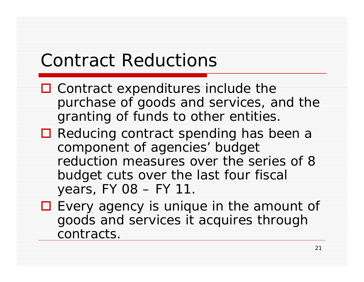## Contract Reductions

- $\Box$  Contract expenditures include the purchase of goods and services, and the granting of funds to other entities.
- Reducing contract spending has been a component of agencies' budget reduction measures over the series of 8  $\,$ budget cuts over the last four fiscal years,  $FY$  08 –  $FY$  11.
- $\Box$  Every agency is unique in the amount of goods and services it acquires through contracts.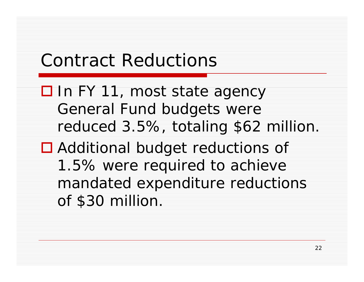## Contract Reductions

- □ In FY 11, most state agency General Fund budgets were reduced 3.5%, totaling \$62 million. ■ Additional budget reductions of
	- 1.5% were required to achieve mandated expenditure reductions of \$30 million.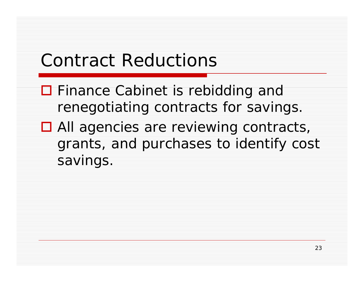# Contract Reductions

- $\Box$  Finance Cabinet is rebidding and renegotiating contracts for savings.
- $\Box$  All agencies are reviewing contracts, grants, and purchases to identify cost savings.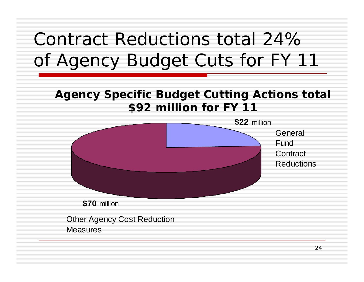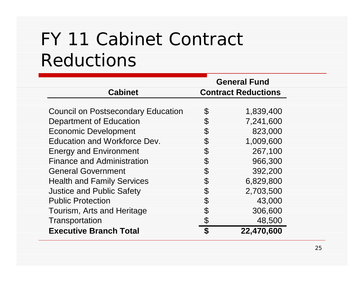# FY 11 Cabinet Contract Reductions

|                                           | <b>General Fund</b> |                            |  |
|-------------------------------------------|---------------------|----------------------------|--|
| <b>Cabinet</b>                            |                     | <b>Contract Reductions</b> |  |
|                                           |                     |                            |  |
| <b>Council on Postsecondary Education</b> | \$                  | 1,839,400                  |  |
| Department of Education                   | \$                  | 7,241,600                  |  |
| <b>Economic Development</b>               | \$                  | 823,000                    |  |
| Education and Workforce Dev.              | S                   | 1,009,600                  |  |
| <b>Energy and Environment</b>             | \$                  | 267,100                    |  |
| <b>Finance and Administration</b>         | \$                  | 966,300                    |  |
| <b>General Government</b>                 | \$                  | 392,200                    |  |
| <b>Health and Family Services</b>         | S                   | 6,829,800                  |  |
| <b>Justice and Public Safety</b>          | S                   | 2,703,500                  |  |
| <b>Public Protection</b>                  | \$                  | 43,000                     |  |
| Tourism, Arts and Heritage                | \$                  | 306,600                    |  |
| Transportation                            | \$                  | 48,500                     |  |
| <b>Executive Branch Total</b>             | \$                  | 22,470,600                 |  |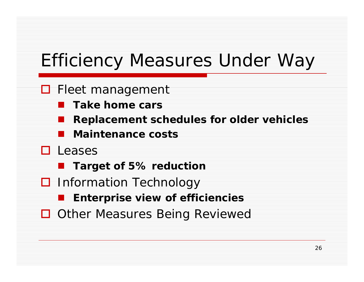# Efficiency Measures Under Way

#### □ Fleet management

- **Take home cars**
- **Replacement schedules for older vehicles**
- **Maintenance costs**
- □ Leases
	- **Target of 5% reduction**
- **□** Information Technology
	- **Enterpri i f ffi i i ise view o f effi ciencies**
- □ Other Measures Being Reviewed